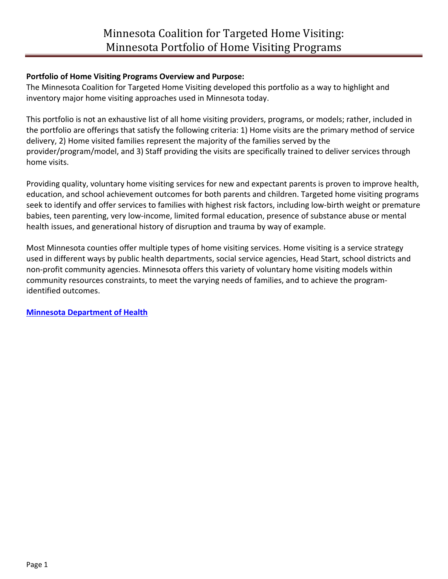### **Portfolio of Home Visiting Programs Overview and Purpose:**

The Minnesota Coalition for Targeted Home Visiting developed this portfolio as a way to highlight and inventory major home visiting approaches used in Minnesota today.

This portfolio is not an exhaustive list of all home visiting providers, programs, or models; rather, included in the portfolio are offerings that satisfy the following criteria: 1) Home visits are the primary method of service delivery, 2) Home visited families represent the majority of the families served by the provider/program/model, and 3) Staff providing the visits are specifically trained to deliver services through home visits.

Providing quality, voluntary home visiting services for new and expectant parents is proven to improve health, education, and school achievement outcomes for both parents and children. Targeted home visiting programs seek to identify and offer services to families with highest risk factors, including low-birth weight or premature babies, teen parenting, very low-income, limited formal education, presence of substance abuse or mental health issues, and generational history of disruption and trauma by way of example.

Most Minnesota counties offer multiple types of home visiting services. Home visiting is a service strategy used in different ways by public health departments, social service agencies, Head Start, school districts and non-profit community agencies. Minnesota offers this variety of voluntary home visiting models within community resources constraints, to meet the varying needs of families, and to achieve the programidentified outcomes.

**[Minnesota Department of Health](http://www.health.state.mn.us/fhv/)**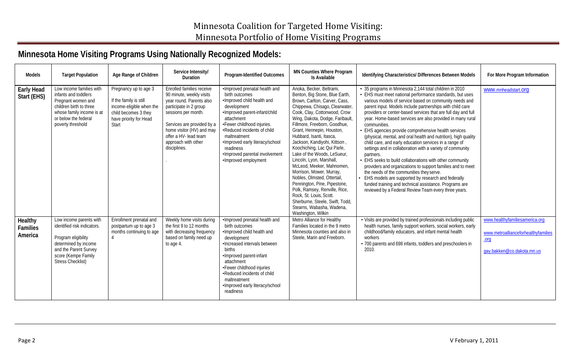# **Minnesota Home Visiting Programs Using Nationally Recognized Models:**

| Models                                | <b>Target Population</b>                                                                                                                                                          | Age Range of Children                                                                                                                  | Service Intensity/<br><b>Duration</b>                                                                                                                                                                                                                         | Program-Identified Outcomes                                                                                                                                                                                                                                                                                                        | <b>MN Counties Where Program</b><br><b>Is Available</b>                                                                                                                                                                                                                                                                                                                                                                                                                                                                                                                                                                                                                                       | Identifying Characteristics/ Differences Between Models                                                                                                                                                                                                                                                                                                                                                                                                                                                                                                                                                                                                                                                                                                                                                                                                                                                                                                                                                  | For More Program Information                                                                                 |
|---------------------------------------|-----------------------------------------------------------------------------------------------------------------------------------------------------------------------------------|----------------------------------------------------------------------------------------------------------------------------------------|---------------------------------------------------------------------------------------------------------------------------------------------------------------------------------------------------------------------------------------------------------------|------------------------------------------------------------------------------------------------------------------------------------------------------------------------------------------------------------------------------------------------------------------------------------------------------------------------------------|-----------------------------------------------------------------------------------------------------------------------------------------------------------------------------------------------------------------------------------------------------------------------------------------------------------------------------------------------------------------------------------------------------------------------------------------------------------------------------------------------------------------------------------------------------------------------------------------------------------------------------------------------------------------------------------------------|----------------------------------------------------------------------------------------------------------------------------------------------------------------------------------------------------------------------------------------------------------------------------------------------------------------------------------------------------------------------------------------------------------------------------------------------------------------------------------------------------------------------------------------------------------------------------------------------------------------------------------------------------------------------------------------------------------------------------------------------------------------------------------------------------------------------------------------------------------------------------------------------------------------------------------------------------------------------------------------------------------|--------------------------------------------------------------------------------------------------------------|
| <b>Early Head</b><br>Start (EHS)      | Low income families with<br>infants and toddlers<br>Pregnant women and<br>children birth to three<br>whose family income is at<br>or below the federal<br>poverty threshold       | Pregnancy up to age 3<br>If the family is still<br>income-eligible when the<br>child becomes 3 they<br>have priority for Head<br>Start | Enrolled families receive<br>90 minute, weekly visits<br>year round. Parents also<br>participate in 2 group<br>sessions per month.<br>Services are provided by a<br>home visitor (HV) and may<br>offer a HV- lead team<br>approach with other<br>disciplines. | ·Improved prenatal health and<br>birth outcomes<br>·Improved child health and<br>development<br>·Improved parent-infant/child<br>attachment<br>•Fewer childhood injuries.<br>•Reduced incidents of child<br>maltreatment<br>·Improved early literacy/school<br>readiness<br>·Improved parental involvement<br>·Improved employment | Anoka, Becker, Beltrami,<br>Benton, Big Stone, Blue Earth,<br>Brown, Carlton, Carver, Cass,<br>Chippewa, Chisago, Clearwater,<br>Cook, Clay, Cottonwood, Crow<br>Wing, Dakota, Dodge, Faribault,<br>Fillmore, Freeborn, Goodhue,<br>Grant, Hennepin, Houston,<br>Hubbard, Isanti, Itasca,<br>Jackson, Kandiyohi, Kittson,<br>Koochiching, Lac Qui Parle,<br>Lake of the Woods, LeSueur,<br>Lincoln, Lyon, Marshall,<br>McLeod, Meeker, Mahnomen,<br>Morrison, Mower, Murray,<br>Nobles, Olmsted, Ottertail,<br>Pennington, Pine, Pipestone,<br>Polk, Ramsey, Renville, Rice,<br>Rock, St. Louis, Scott.<br>Sherburne, Steele, Swift, Todd,<br>Stearns, Wabasha, Wadena,<br>Washington, Wilkin | • 35 programs in Minnesota 2,144 total children in 2010<br>• EHS must meet national performance standards, but uses<br>various models of service based on community needs and<br>parent input. Models include partnerships with child care<br>providers or center-based services that are full day and full<br>year. Home-based services are also provided in many rural<br>communities.<br>• EHS agencies provide comprehensive health services<br>(physical, mental, and oral health and nutrition), high quality<br>child care, and early education services in a range of<br>settings and in collaboration with a variety of community<br>partners.<br>• EHS seeks to build collaborations with other community<br>providers and organizations to support families and to meet<br>the needs of the communities they serve.<br>• EHS models are supported by research and federally<br>funded training and technical assistance. Programs are<br>reviewed by a Federal Review Team every three years. | www.mnheadstart.org                                                                                          |
| Healthy<br><b>Families</b><br>America | Low income parents with<br>identified risk indicators.<br>Program eligibility<br>determined by income<br>and the Parent Survey<br>score (Kempe Family<br><b>Stress Checklist)</b> | Enrollment prenatal and<br>postpartum up to age 3<br>months continuing to age                                                          | Weekly home visits during<br>the first 9 to 12 months<br>with decreasing frequency<br>based on family need up<br>to age 4.                                                                                                                                    | ·Improved prenatal health and<br>birth outcomes<br>. Improved child health and<br>development<br>•Increased intervals between<br><b>births</b><br>·Improved parent-infant<br>attachment<br>•Fewer childhood injuries<br>•Reduced incidents of child<br>maltreatment<br>·Improved early literacy/school<br>readiness                | Metro Alliance for Healthy<br>Families located in the 9 metro<br>Minnesota counties and also in<br>Steele, Marin and Freeborn.                                                                                                                                                                                                                                                                                                                                                                                                                                                                                                                                                                | . Visits are provided by trained professionals including public<br>health nurses, family support workers, social workers, early<br>childhood/family educators, and infant mental health<br>workers<br>• 700 parents and 698 infants, toddlers and preschoolers in<br>2010.                                                                                                                                                                                                                                                                                                                                                                                                                                                                                                                                                                                                                                                                                                                               | www.healthyfamiliesamerica.org<br>www.metroallianceforhealthyfamilies<br>$orq$<br>gay.bakken@co.dakota.mn.us |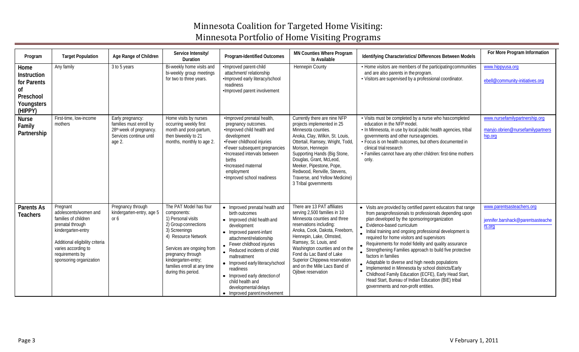## Minnesota Coalition for Targeted Home Visiting: Minnesota Portfolio of Home Visiting Programs

| Program                                                                                          | <b>Target Population</b>                                                                                                                                                                                    | Age Range of Children                                                                                                   | Service Intensity/<br>Duration                                                                                                                                                                                                                             | Program-Identified Outcomes                                                                                                                                                                                                                                                                                                                                                                      | <b>MN Counties Where Program</b><br>Is Available                                                                                                                                                                                                                                                                                                                     | Identifying Characteristics/ Differences Between Models                                                                                                                                                                                                                                                                                                                                                                                                                                                                                                                                                                                                                                                                        | For More Program Information                                                   |
|--------------------------------------------------------------------------------------------------|-------------------------------------------------------------------------------------------------------------------------------------------------------------------------------------------------------------|-------------------------------------------------------------------------------------------------------------------------|------------------------------------------------------------------------------------------------------------------------------------------------------------------------------------------------------------------------------------------------------------|--------------------------------------------------------------------------------------------------------------------------------------------------------------------------------------------------------------------------------------------------------------------------------------------------------------------------------------------------------------------------------------------------|----------------------------------------------------------------------------------------------------------------------------------------------------------------------------------------------------------------------------------------------------------------------------------------------------------------------------------------------------------------------|--------------------------------------------------------------------------------------------------------------------------------------------------------------------------------------------------------------------------------------------------------------------------------------------------------------------------------------------------------------------------------------------------------------------------------------------------------------------------------------------------------------------------------------------------------------------------------------------------------------------------------------------------------------------------------------------------------------------------------|--------------------------------------------------------------------------------|
| Home<br><b>Instruction</b><br>for Parents<br><sub>of</sub><br>Preschool<br>Youngsters<br>(HIPPY) | Any family                                                                                                                                                                                                  | 3 to 5 years                                                                                                            | Bi-weekly home visits and<br>bi-weekly group meetings<br>for two to three years.                                                                                                                                                                           | ·Improved parent-child<br>attachment/relationship<br>·Improved early literacy/school<br>readiness<br>·Improved parent involvement                                                                                                                                                                                                                                                                | <b>Hennepin County</b>                                                                                                                                                                                                                                                                                                                                               | • Home visitors are members of the participating communities<br>and are also parents in the program.<br>. Visitors are supervised by a professional coordinator.                                                                                                                                                                                                                                                                                                                                                                                                                                                                                                                                                               | www.hippyusa.org<br>ebell@community-initiatives.org                            |
| <b>Nurse</b><br>Family<br>Partnership                                                            | First-time, low-income<br>mothers                                                                                                                                                                           | Early pregnancy:<br>families must enroll by<br>28 <sup>th</sup> week of pregnancy.<br>Services continue until<br>age 2. | Home visits by nurses<br>occurring weekly first<br>month and post-partum,<br>then biweekly to 21<br>months, monthly to age 2.                                                                                                                              | ·Improved prenatal health,<br>pregnancy outcomes.<br>. Improved child health and<br>development<br>•Fewer childhood injuries<br>•Fewer subsequent pregnancies<br>•Increased intervals between<br>births<br>•Increased maternal<br>employment<br>·Improved school readiness                                                                                                                       | Currently there are nine NFP<br>projects implemented in 25<br>Minnesota counties.<br>Anoka, Clay, Wilkin, St. Louis,<br>Ottertail, Ramsey, Wright, Todd,<br>Morison, Hennepin<br>Supporting Hands (Big Stone,<br>Douglas, Grant, McLeod,<br>Meeker, Pipestone, Pope,<br>Redwood, Renville, Stevens,<br>Traverse, and Yellow Medicine)<br>3 Tribal governments        | • Visits must be completed by a nurse who hascompleted<br>education in the NFP model.<br>• In Minnesota, in use by local public health agencies, tribal<br>governments and other nurse agencies.<br>• Focus is on health outcomes, but others documented in<br>clinical trial research<br>• Families cannot have any other children: first-time mothers<br>only.                                                                                                                                                                                                                                                                                                                                                               | www.nursefamilypartnership.org<br>maryjo.obrien@nursefamilypartners<br>hip.org |
| Parents As<br><b>Teachers</b>                                                                    | Pregnant<br>adolescents/women and<br>families of children<br>prenatal through<br>kindergarten-entry<br>Additional eligibility criteria<br>varies according to<br>requirements by<br>sponsoring organization | Pregnancy through<br>kindergarten-entry, age 5<br>or $6$                                                                | The PAT Model has four<br>components:<br>1) Personal visits<br>2) Group connections<br>3) Screenings<br>4) Resource Network<br>Services are ongoing from<br>pregnancy through<br>kindergarten-entry;<br>families enroll at any time<br>during this period. | • Improved prenatal health and<br>birth outcomes<br>• Improved child health and<br>development<br>• Improved parent-infant<br>attachment/relationship<br>• Fewer childhood injuries<br>Reduced incidents of child<br>maltreatment<br>• Improved early literacy/school<br>readiness<br>• Improved early detection of<br>child health and<br>developmental delays<br>• Improved parent involvement | There are 13 PAT affiliates<br>serving 2,500 families in 10<br>Minnesota counties and three<br>reservations including:<br>Anoka, Cook, Dakota, Freeborn,<br>Hennepin, Lake, Olmsted,<br>Ramsey, St. Louis, and<br>Washington counties and on the<br>Fond du Lac Band of Lake<br>Superior Chippewa reservation<br>and on the Mille Lacs Band of<br>Ojibwe reservation | • Visits are provided by certified parent educators that range<br>from paraprofessionals to professionals depending upon<br>plan developed by the sponsoring organization<br>. Evidence-based curriculum<br>Initial training and ongoing professional development is<br>required for home visitors and supervisors<br>Requirements for model fidelity and quality assurance<br>Strengthening Families approach to build five protective<br>factors in families<br>Adaptable to diverse and high needs populations<br>Implemented in Minnesota by school districts/Early<br>Childhood Family Education (ECFE), Early Head Start,<br>Head Start, Bureau of Indian Education (BIE) tribal<br>governments and non-profit entities. | www.parentsasteachers.org<br>jennifer.barshack@parentsasteache<br>rs.org       |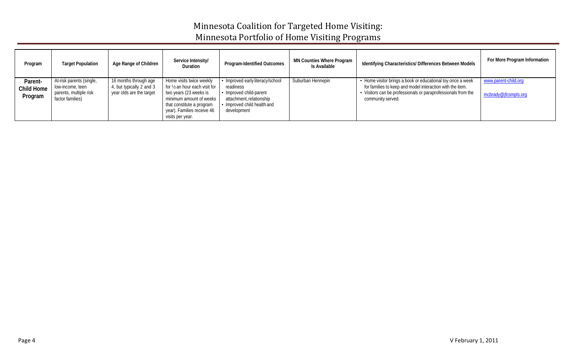## Minnesota Coalition for Targeted Home Visiting: Minnesota Portfolio of Home Visiting Programs

| Program                          | <b>Target Population</b>                                                                   | Age Range of Children                                                         | Service Intensity/<br>Duration                                                                                                                                                                 | <b>Program-Identified Outcomes</b>                                                                                                                 | <b>MN Counties Where Program</b><br>Is Available | Identifying Characteristics/ Differences Between Models                                                                                                                                                        | For More Program Information                 |
|----------------------------------|--------------------------------------------------------------------------------------------|-------------------------------------------------------------------------------|------------------------------------------------------------------------------------------------------------------------------------------------------------------------------------------------|----------------------------------------------------------------------------------------------------------------------------------------------------|--------------------------------------------------|----------------------------------------------------------------------------------------------------------------------------------------------------------------------------------------------------------------|----------------------------------------------|
| Parent-<br>Child Home<br>Program | At-risk parents (single,<br>low-income, teen<br>parents, multiple risk<br>factor families) | 16 months through age<br>4, but typically 2 and 3<br>year olds are the target | Home visits twice weekly<br>for 1/2 an hour each visit for<br>two years (23 weeks is<br>minimum amount of weeks<br>that constitute a program<br>year). Families receive 46<br>visits per year. | • Improved early literacy/school<br>readiness<br>• Improved child-parent<br>attachment, relationship<br>• Improved child health and<br>development | Suburban Hennepin                                | • Home visitor brings a book or educational toy once a week<br>for families to keep and model interaction with the item.<br>• Visitors can be professionals or paraprofessionals from the<br>community served. | www.parent-child.org<br>mcbrady@jfcsmpls.org |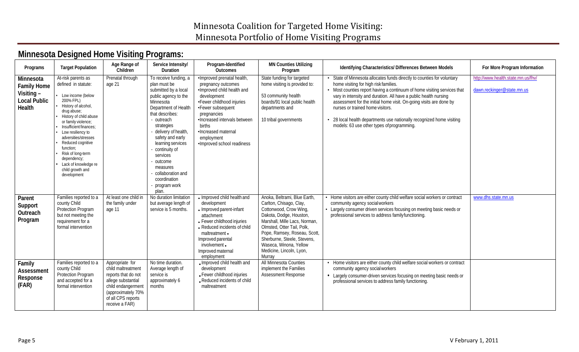# **Minnesota Designed Home Visiting Programs:**

| Programs                                                                       | <b>Target Population</b>                                                                                                                                                                                                                                                                                                                                                   | Age Range of<br>Children                                                                                                                                               | Service Intensity/<br>Duration                                                                                                                                                                                                                                                                                                                                | Program-Identified<br>Outcomes                                                                                                                                                                                                                                              | <b>MN Counties Utilizing</b><br>Program                                                                                                                                                                                                                                                                    | Identifying Characteristics/ Differences Between Models                                                                                                                                                                                                                                                                                                                                                                                                                                           | For More Program Information                                     |
|--------------------------------------------------------------------------------|----------------------------------------------------------------------------------------------------------------------------------------------------------------------------------------------------------------------------------------------------------------------------------------------------------------------------------------------------------------------------|------------------------------------------------------------------------------------------------------------------------------------------------------------------------|---------------------------------------------------------------------------------------------------------------------------------------------------------------------------------------------------------------------------------------------------------------------------------------------------------------------------------------------------------------|-----------------------------------------------------------------------------------------------------------------------------------------------------------------------------------------------------------------------------------------------------------------------------|------------------------------------------------------------------------------------------------------------------------------------------------------------------------------------------------------------------------------------------------------------------------------------------------------------|---------------------------------------------------------------------------------------------------------------------------------------------------------------------------------------------------------------------------------------------------------------------------------------------------------------------------------------------------------------------------------------------------------------------------------------------------------------------------------------------------|------------------------------------------------------------------|
| Minnesota<br><b>Family Home</b><br>Visiting -<br><b>Local Public</b><br>Health | At-risk parents as<br>defined in statute:<br>Low income (below<br>200% FPL)<br>History of alcohol,<br>drug abuse;<br>History of child abuse<br>or family violence;<br>Insufficient finances:<br>Low resiliency to<br>adversities/stresses<br>Reduced cognitive<br>function;<br>Risk of long-term<br>dependency;<br>Lack of knowledge re<br>child growth and<br>development | Prenatal through<br>age 21                                                                                                                                             | To receive funding, a<br>plan must be<br>submitted by a local<br>public agency to the<br>Minnesota<br>Department of Health<br>that describes:<br>- outreach<br>strategies<br>delivery of health,<br>safety and early<br>learning services<br>continuity of<br>services<br>outcome<br>measures<br>collaboration and<br>coordination<br>- program work<br>plan. | ·Improved prenatal health,<br>pregnancy outcomes<br>·Improved child health and<br>development<br>•Fewer childhood injuries<br>•Fewer subsequent<br>pregnancies<br>·Increased intervals between<br>births<br>•Increased maternal<br>employment<br>·Improved school readiness | State funding for targeted<br>home visiting is provided to:<br>53 community health<br>boards/91 local public health<br>departments and<br>10 tribal governments                                                                                                                                            | • State of Minnesota allocates funds directly to counties for voluntary<br>home visiting for high risk families.<br>• Most counties report having a continuum of home visiting services that<br>vary in intensity and duration. All have a public health nursing<br>assessment for the initial home visit. On-going visits are done by<br>nurses or trained home visitors.<br>• 28 local health departments use nationally recognized home visiting<br>models: 63 use other types of programming. | http://www.health.state.mn.us/fhv/<br>dawn.reckinger@state.mn.us |
| Parent<br>Support<br>Outreach<br>Program                                       | Families reported to a<br>county Child<br>Protection Program<br>but not meeting the<br>requirement for a<br>formal intervention                                                                                                                                                                                                                                            | At least one child in<br>the family under<br>age 11                                                                                                                    | No duration limitation<br>but average length of<br>service is 5 months.                                                                                                                                                                                                                                                                                       | • Improved child health and<br>development<br>• Improved parent-infant<br>attachment<br>• Fewer childhood injuries<br>• Reduced incidents of child<br>maltreatment .<br>Improved parental<br>involvement .<br>Improved maternal<br>employment                               | Anoka, Beltrami, Blue Earth,<br>Carlton, Chisago, Clay,<br>Cottonwood, Crow Wing,<br>Dakota, Dodge, Houston,<br>Marshall, Mille Lacs, Norman,<br>Olmsted, Otter Tail, Polk,<br>Pope, Ramsey, Roseau, Scott,<br>Sherburne, Steele, Stevens,<br>Waseca, Winona, Yellow<br>Medicine, Lincoln, Lyon,<br>Murrav | • Home visitors are either county child welfare social workers or contract<br>community agency social workers<br>• Largely consumer driven services focusing on meeting basic needs or<br>professional services to address family functioning.                                                                                                                                                                                                                                                    | www.dhs.state.mn.us                                              |
| Family<br>Assessment<br>Response<br>(FAR)                                      | Families reported to a<br>county Child<br>Protection Program<br>and accepted for a<br>formal intervention                                                                                                                                                                                                                                                                  | Appropriate for<br>child maltreatment<br>reports that do not<br>allege substantial<br>child endangerment<br>(approximately 70%<br>of all CPS reports<br>receive a FAR) | No time duration.<br>Average length of<br>service is<br>approximately 6<br>months                                                                                                                                                                                                                                                                             | . Improved child health and<br>development<br>. Fewer childhood injuries<br>. Reduced incidents of child<br>maltreatment                                                                                                                                                    | All Minnesota Counties<br>implement the Families<br>Assessment Response                                                                                                                                                                                                                                    | • Home visitors are either county child welfare social workers or contract<br>community agency social workers<br>Largely consumer-driven services focusing on meeting basic needs or<br>professional services to address family functioning.                                                                                                                                                                                                                                                      |                                                                  |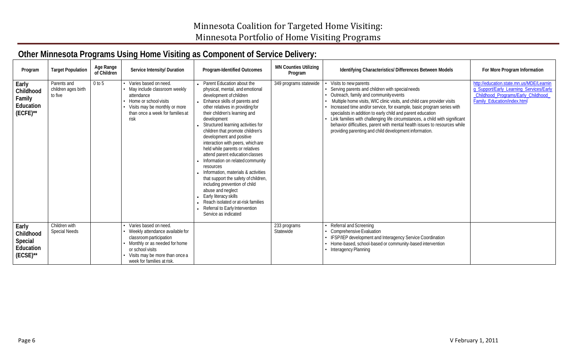## **Other Minnesota Programs Using Home Visiting as Component of Service Delivery:**

| Program                                                    | <b>Target Population</b>                      | Age Range<br>of Children | Service Intensity/ Duration                                                                                                                                                                                      | Program-Identified Outcomes                                                                                                                                                                                                                                                                                                                                                                                                                                                                                                                                                                                                                                                                                                                                 | <b>MN Counties Utilizing</b><br>Program | Identifying Characteristics/ Differences Between Models                                                                                                                                                                                                                                                                                                                                                                                                                                                                                                    | For More Program Information                                                                                                                              |
|------------------------------------------------------------|-----------------------------------------------|--------------------------|------------------------------------------------------------------------------------------------------------------------------------------------------------------------------------------------------------------|-------------------------------------------------------------------------------------------------------------------------------------------------------------------------------------------------------------------------------------------------------------------------------------------------------------------------------------------------------------------------------------------------------------------------------------------------------------------------------------------------------------------------------------------------------------------------------------------------------------------------------------------------------------------------------------------------------------------------------------------------------------|-----------------------------------------|------------------------------------------------------------------------------------------------------------------------------------------------------------------------------------------------------------------------------------------------------------------------------------------------------------------------------------------------------------------------------------------------------------------------------------------------------------------------------------------------------------------------------------------------------------|-----------------------------------------------------------------------------------------------------------------------------------------------------------|
| Early<br>Childhood<br>Family<br>Education<br>$(ECFE)^{**}$ | Parents and<br>children ages birth<br>to five | $0$ to 5                 | Varies based on need.<br>• May include classroom weekly<br>attendance<br>• Home or school visits<br>• Visits may be monthly or more<br>than once a week for families at<br>risk                                  | • Parent Education about the<br>physical, mental, and emotional<br>development of children<br>• Enhance skills of parents and<br>other relatives in providing for<br>their children's learning and<br>development<br>Structured learning activities for<br>children that promote children's<br>development and positive<br>interaction with peers, which are<br>held while parents or relatives<br>attend parent education classes<br>• Information on related community<br>resources<br>• Information, materials & activities<br>that support the safety of children,<br>including prevention of child<br>abuse and neglect<br>• Early literacy skills<br>• Reach isolated or at-risk families<br>• Referral to Early Intervention<br>Service as indicated | 349 programs statewide                  | Visits to new parents<br>Serving parents and children with specialneeds<br>Outreach, family and community events<br>Multiple home visits, WIC clinic visits, and child care provider visits<br>Increased time and/or service, for example, basic program series with<br>specialists in addition to early child and parent education<br>Link families with challenging life circumstances, a child with significant<br>behavior difficulties, parent with mental health issues to resources while<br>providing parenting and child development information. | http://education.state.mn.us/MDE/Learnin<br>g_Support/Early_Learning_Services/Early<br>Childhood_Programs/Early_Childhood_<br>Family_Education/index.html |
| Early<br>Childhood<br>Special<br>Education<br>$(ECSE)$ **  | Children with<br><b>Special Needs</b>         |                          | • Varies based on need.<br>• Weekly attendance available for<br>classroom participation<br>• Monthly or as needed for home<br>or school visits<br>• Visits may be more than once a<br>week for families at risk. |                                                                                                                                                                                                                                                                                                                                                                                                                                                                                                                                                                                                                                                                                                                                                             | 233 programs<br>Statewide               | Referral and Screening<br>Comprehensive Evaluation<br><b>IFSP/IEP development and Interagency Service Coordination</b><br>Home-based, school-based or community-based intervention<br>Interagency Planning                                                                                                                                                                                                                                                                                                                                                 |                                                                                                                                                           |